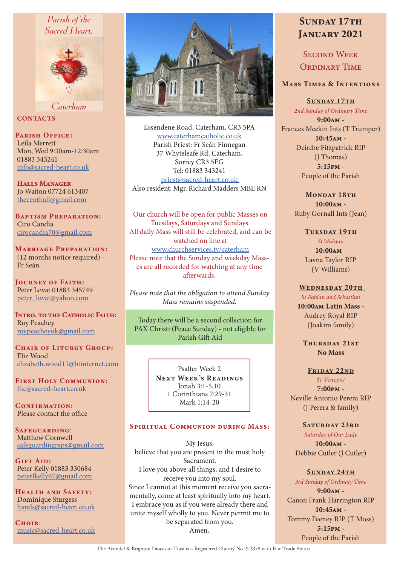## Parish of the Sacred Heart.



Caterham

**CONTACTS** 

PARISH OFFICE: Leila Merrett

Mon, Wed 9:30am-12:30am 01883 343241 info@sacred-heart.co.uk

Halls Manager Jo Waiton 07724 613407 thecenthall@gmail.com

Baptism Preparation: Ciro Candia cirocandia70@gmail.com

Marriage Preparation: (12 months notice required) - Fr Seán

Journey of Faith: Peter Lovat 01883 345749 peter\_lovat@yahoo.com

INTRO. TO THE CATHOLIC FAITH: Roy Peachey roypeacheyuk@gmail.com

CHAIR OF LITURGY GROUP: Eliz Wood elizabeth.wood11@btinternet.com

First Holy Communion: fhc@sacred-heart.co.uk

CONFIRMATION: Please contact the office

Safeguarding: Matthew Cornwell safeguardingreps@gmail.com

GIFT AID: Peter Kelly 01883 330684 peterfkelly67@gmail.com

Health and Safety: Dominique Sturgess hands@sacred-heart.co.uk

CHOIR: music@sacred-heart.co.uk



Essendene Road, Caterham, CR3 5PA www.caterhamcatholic.co.uk Parish Priest: Fr Seán Finnegan 37 Whyteleafe Rd, Caterham, Surrey CR3 5EG Tel: 01883 343241 priest@sacred-heart.co.uk Also resident: Mgr. Richard Madders MBE RN

Our church will be open for public Masses on Tuesdays, Saturdays and Sundays. All daily Mass will still be celebrated, and can be watched on line at www.churchservices.tv/caterham Please note that the Sunday and weekday Masses are all recorded for watching at any time afterwards.

*Please note that the obligation to attend Sunday Mass remains suspended.*

Today there will be a second collection for PAX Christi (Peace Sunday) - not eligible for Parish Gift Aid

> Psalter Week 2 NEXT WEEK'S READINGS Jonah 3:1-5,10 1 Corinthians 7:29-31 Mark 1:14-20

#### Spiritual Communion during Mass:

My Jesus, believe that you are present in the most holy Sacrament. I love you above all things, and I desire to receive you into my soul. Since I cannot at this moment receive you sacramentally, come at least spiritually into my heart. I embrace you as if you were already there and unite myself wholly to you. Never permit me to be separated from you. Amen.

# SUNDAY 17TH JANUARY 2021

SECOND WEEK ORDINARY TIME

#### Mass Times & Intentions

SUNDAY 17TH

*2nd Sunday of Ordinary Time* 9:00am -

Frances Meekin Ints (T Trumper) 10:45am - Deirdre Fitzpatrick RIP (J Thomas) 5:15pm - People of the Parish

> MONDAY 18TH 10:00am - Ruby Gornall Ints (Jean)

#### TUESDAY 19TH

*St Wulstan* 10:00am - Lavna Taylor RIP (V Williams)

#### WEDNESDAY 20TH

*Ss Fabian and Sebastian* 10:00am Latin Mass - Audrey Royal RIP (Joakim family)

THURSDAY 21ST No Mass

#### FRIDAY 22ND *St Vincent*

 $7.00<sub>DM</sub>$  -Neville Antonio Perera RIP (J Perera & family)

#### SATURDAY 23RD

*Saturday of Our Lady* 10:00am - Debbie Cutler (J Cutler)

#### SUNDAY 24TH

*3rd Sunday of Ordinaty Time* 9:00am - Canon Frank Harrington RIP 10:45am - Tommy Feeney RIP (T Moss) 5:15pm - People of the Parish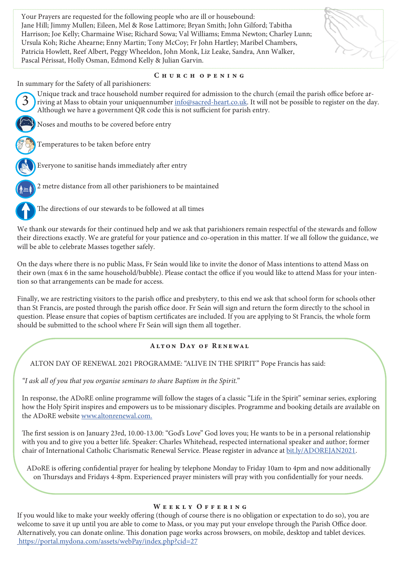Your Prayers are requested for the following people who are ill or housebound: Jane Hill; Jimmy Mullen; Eileen, Mel & Rose Lattimore; Bryan Smith; John Gilford; Tabitha Harrison; Joe Kelly; Charmaine Wise; Richard Sowa; Val Williams; Emma Newton; Charley Lunn; Ursula Koh; Riche Ahearne; Enny Martin; Tony McCoy; Fr John Hartley; Maribel Chambers, Patricia Howlett, Reef Albert, Peggy Wheeldon, John Monk, Liz Leake, Sandra, Ann Walker, Pascal Périssat, Holly Osman, Edmond Kelly & Julian Garvin.



#### CHURCH OPENING

In summary for the Safety of all parishioners:

Unique track and trace household number required for admission to the church (email the parish office before arriving at Mass to obtain your uniquennumber info@sacred-heart.co.uk. It will not be possible to register on the day. Although we have a government QR code this is not sufficient for parish entry.

Noses and mouths to be covered before entry

Temperatures to be taken before entry



3

Everyone to sanitise hands immediately after entry

2 metre distance from all other parishioners to be maintained



The directions of our stewards to be followed at all times

We thank our stewards for their continued help and we ask that parishioners remain respectful of the stewards and follow their directions exactly. We are grateful for your patience and co-operation in this matter. If we all follow the guidance, we will be able to celebrate Masses together safely.

On the days where there is no public Mass, Fr Seán would like to invite the donor of Mass intentions to attend Mass on their own (max 6 in the same household/bubble). Please contact the office if you would like to attend Mass for your intention so that arrangements can be made for access.

Finally, we are restricting visitors to the parish office and presbytery, to this end we ask that school form for schools other than St Francis, are posted through the parish office door. Fr Seán will sign and return the form directly to the school in question. Please ensure that copies of baptism certificates are included. If you are applying to St Francis, the whole form should be submitted to the school where Fr Seán will sign them all together.

#### Alton Day of Renewal

ALTON DAY OF RENEWAL 2021 PROGRAMME: "ALIVE IN THE SPIRIT" Pope Francis has said:

*"I ask all of you that you organise seminars to share Baptism in the Spirit.*"

In response, the ADoRE online programme will follow the stages of a classic "Life in the Spirit" seminar series, exploring how the Holy Spirit inspires and empowers us to be missionary disciples. Programme and booking details are available on the ADoRE website www.altonrenewal.com.

The first session is on January 23rd, 10.00-13.00: "God's Love" God loves you; He wants to be in a personal relationship with you and to give you a better life. Speaker: Charles Whitehead, respected international speaker and author; former chair of International Catholic Charismatic Renewal Service. Please register in advance at bit.ly/ADOREJAN2021.

ADoRE is offering confidential prayer for healing by telephone Monday to Friday 10am to 4pm and now additionally on Thursdays and Fridays 4-8pm. Experienced prayer ministers will pray with you confidentially for your needs.

#### WEEKLY OFFERING

If you would like to make your weekly offering (though of course there is no obligation or expectation to do so), you are welcome to save it up until you are able to come to Mass, or you may put your envelope through the Parish Office door. Alternatively, you can donate online. This donation page works across browsers, on mobile, desktop and tablet devices. https://portal.mydona.com/assets/webPay/index.php?cid=27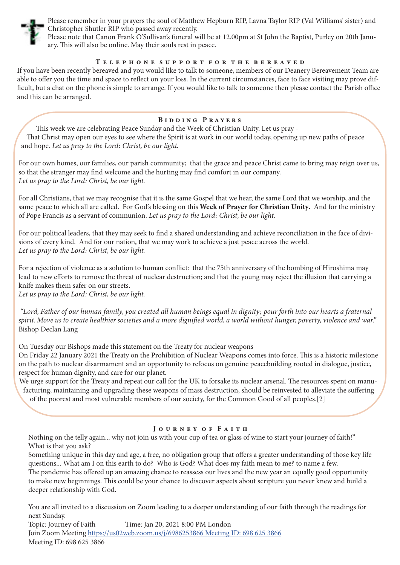

Please remember in your prayers the soul of Matthew Hepburn RIP, Lavna Taylor RIP (Val Williams' sister) and Christopher Shutler RIP who passed away recently.

Please note that Canon Frank O'Sullivan's funeral will be at 12.00pm at St John the Baptist, Purley on 20th January. This will also be online. May their souls rest in peace.

#### T e l e p h o n e s u p p o r t f o r t h e b e r e a v e d

If you have been recently bereaved and you would like to talk to someone, members of our Deanery Bereavement Team are able to offer you the time and space to reflect on your loss. In the current circumstances, face to face visiting may prove difficult, but a chat on the phone is simple to arrange. If you would like to talk to someone then please contact the Parish office and this can be arranged.

#### Bidding Prayers

This week we are celebrating Peace Sunday and the Week of Christian Unity. Let us pray - That Christ may open our eyes to see where the Spirit is at work in our world today, opening up new paths of peace and hope. *Let us pray to the Lord: Christ, be our light.* 

For our own homes, our families, our parish community; that the grace and peace Christ came to bring may reign over us, so that the stranger may find welcome and the hurting may find comfort in our company. *Let us pray to the Lord: Christ, be our light.* 

For all Christians, that we may recognise that it is the same Gospel that we hear, the same Lord that we worship, and the same peace to which all are called. For God's blessing on this Week of Prayer for Christian Unity. And for the ministry of Pope Francis as a servant of communion. *Let us pray to the Lord: Christ, be our light.* 

For our political leaders, that they may seek to find a shared understanding and achieve reconciliation in the face of divisions of every kind. And for our nation, that we may work to achieve a just peace across the world. *Let us pray to the Lord: Christ, be our light.* 

For a rejection of violence as a solution to human conflict: that the 75th anniversary of the bombing of Hiroshima may lead to new efforts to remove the threat of nuclear destruction; and that the young may reject the illusion that carrying a knife makes them safer on our streets.

*Let us pray to the Lord: Christ, be our light.*

 *"Lord, Father of our human family, you created all human beings equal in dignity; pour forth into our hearts a fraternal spirit. Move us to create healthier societies and a more dignified world, a world without hunger, poverty, violence and war."*  Bishop Declan Lang

On Tuesday our Bishops made this statement on the Treaty for nuclear weapons

On Friday 22 January 2021 the Treaty on the Prohibition of Nuclear Weapons comes into force. This is a historic milestone on the path to nuclear disarmament and an opportunity to refocus on genuine peacebuilding rooted in dialogue, justice, respect for human dignity, and care for our planet.

We urge support for the Treaty and repeat our call for the UK to forsake its nuclear arsenal. The resources spent on manufacturing, maintaining and upgrading these weapons of mass destruction, should be reinvested to alleviate the suffering

of the poorest and most vulnerable members of our society, for the Common Good of all peoples.[2]

#### JOURNEY OF FAITH

Nothing on the telly again... why not join us with your cup of tea or glass of wine to start your journey of faith!" What is that you ask?

Something unique in this day and age, a free, no obligation group that offers a greater understanding of those key life questions... What am I on this earth to do? Who is God? What does my faith mean to me? to name a few. The pandemic has offered up an amazing chance to reassess our lives and the new year an equally good opportunity to make new beginnings. This could be your chance to discover aspects about scripture you never knew and build a deeper relationship with God.

You are all invited to a discussion on Zoom leading to a deeper understanding of our faith through the readings for next Sunday. Topic: Journey of Faith Time: Jan 20, 2021 8:00 PM London Join Zoom Meeting https://us02web.zoom.us/j/6986253866 Meeting ID: 698 625 3866 Meeting ID: 698 625 3866